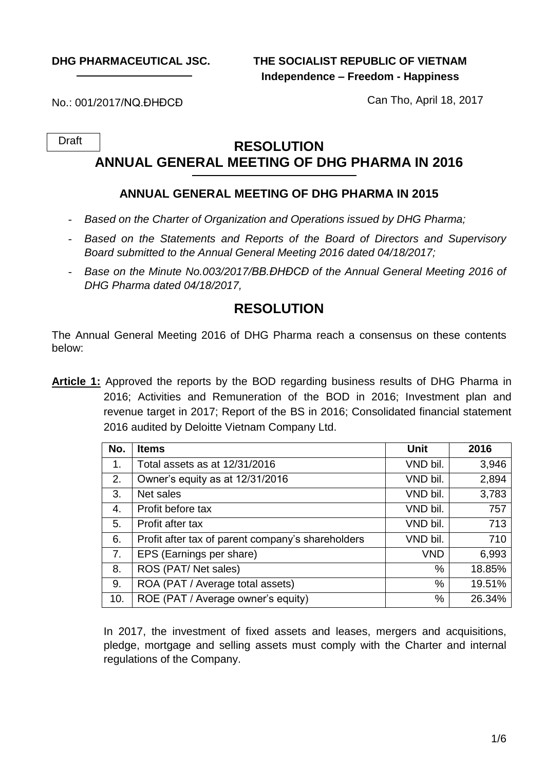**DHG PHARMACEUTICAL JSC.**

**THE SOCIALIST REPUBLIC OF VIETNAM Independence – Freedom - Happiness**

No.: 001/2017/NQ.ĐHĐCĐ

Can Tho, April 18, 2017

Draft

# **RESOLUTION ANNUAL GENERAL MEETING OF DHG PHARMA IN 2016**

### **ANNUAL GENERAL MEETING OF DHG PHARMA IN 2015**

- *Based on the Charter of Organization and Operations issued by DHG Pharma;*
- *Based on the Statements and Reports of the Board of Directors and Supervisory Board submitted to the Annual General Meeting 2016 dated 04/18/2017;*
- *Base on the Minute No.003/2017/BB.ĐHĐCĐ of the Annual General Meeting 2016 of DHG Pharma dated 04/18/2017,*

# **RESOLUTION**

The Annual General Meeting 2016 of DHG Pharma reach a consensus on these contents below:

**Article 1:** Approved the reports by the BOD regarding business results of DHG Pharma in 2016; Activities and Remuneration of the BOD in 2016; Investment plan and revenue target in 2017; Report of the BS in 2016; Consolidated financial statement 2016 audited by Deloitte Vietnam Company Ltd.

| No. | <b>Items</b>                                      | Unit       | 2016   |
|-----|---------------------------------------------------|------------|--------|
| 1.  | Total assets as at 12/31/2016                     | VND bil.   | 3,946  |
| 2.  | Owner's equity as at 12/31/2016                   | VND bil.   | 2,894  |
| 3.  | Net sales                                         | VND bil.   | 3,783  |
| 4.  | Profit before tax                                 | VND bil.   | 757    |
| 5.  | Profit after tax                                  | VND bil.   | 713    |
| 6.  | Profit after tax of parent company's shareholders | VND bil.   | 710    |
| 7.  | EPS (Earnings per share)                          | <b>VND</b> | 6,993  |
| 8.  | ROS (PAT/Net sales)                               | %          | 18.85% |
| 9.  | ROA (PAT / Average total assets)                  | %          | 19.51% |
| 10. | ROE (PAT / Average owner's equity)                | %          | 26.34% |

In 2017, the investment of fixed assets and leases, mergers and acquisitions, pledge, mortgage and selling assets must comply with the Charter and internal regulations of the Company.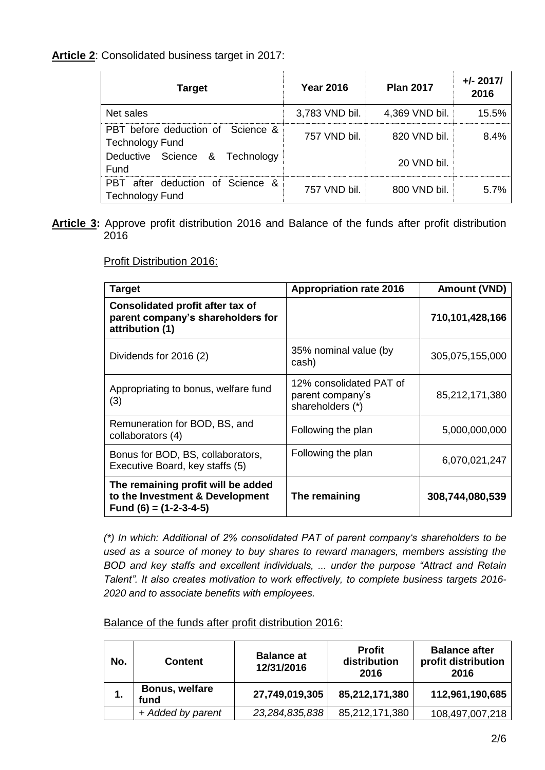#### **Article 2**: Consolidated business target in 2017:

| <b>Target</b>                                               | <b>Year 2016</b> | <b>Plan 2017</b> | $+/- 2017/$<br>2016 |
|-------------------------------------------------------------|------------------|------------------|---------------------|
| Net sales                                                   | 3,783 VND bil.   | 4,369 VND bil.   | 15.5%               |
| PBT before deduction of Science &<br><b>Technology Fund</b> | 757 VND bil.     | 820 VND bil.     | 8.4%                |
| Deductive Science & Technology<br>Fund                      |                  | 20 VND bil.      |                     |
| PBT after deduction of Science &<br><b>Technology Fund</b>  | 757 VND bil.     | 800 VND bil.     | 5.7%                |

**Article 3:** Approve profit distribution 2016 and Balance of the funds after profit distribution 2016

Profit Distribution 2016:

| <b>Target</b>                                                                                     | <b>Appropriation rate 2016</b>                                  | <b>Amount (VND)</b> |
|---------------------------------------------------------------------------------------------------|-----------------------------------------------------------------|---------------------|
| <b>Consolidated profit after tax of</b><br>parent company's shareholders for<br>attribution (1)   |                                                                 | 710,101,428,166     |
| Dividends for 2016 (2)                                                                            | 35% nominal value (by<br>cash)                                  | 305,075,155,000     |
| Appropriating to bonus, welfare fund<br>(3)                                                       | 12% consolidated PAT of<br>parent company's<br>shareholders (*) | 85,212,171,380      |
| Remuneration for BOD, BS, and<br>collaborators (4)                                                | Following the plan                                              | 5,000,000,000       |
| Bonus for BOD, BS, collaborators,<br>Executive Board, key staffs (5)                              | Following the plan                                              | 6,070,021,247       |
| The remaining profit will be added<br>to the Investment & Development<br>Fund $(6) = (1-2-3-4-5)$ | The remaining                                                   | 308,744,080,539     |

*(\*) In which: Additional of 2% consolidated PAT of parent company's shareholders to be used as a source of money to buy shares to reward managers, members assisting the BOD and key staffs and excellent individuals, ... under the purpose "Attract and Retain Talent". It also creates motivation to work effectively, to complete business targets 2016- 2020 and to associate benefits with employees.*

Balance of the funds after profit distribution 2016:

| No.              | <b>Content</b>         | <b>Balance at</b><br>12/31/2016 | <b>Profit</b><br>distribution<br>2016 | <b>Balance after</b><br>profit distribution<br>2016 |
|------------------|------------------------|---------------------------------|---------------------------------------|-----------------------------------------------------|
| $\overline{1}$ . | Bonus, welfare<br>fund | 27,749,019,305                  | 85,212,171,380                        | 112,961,190,685                                     |
|                  | + Added by parent      | 23,284,835,838                  | 85,212,171,380                        | 108,497,007,218                                     |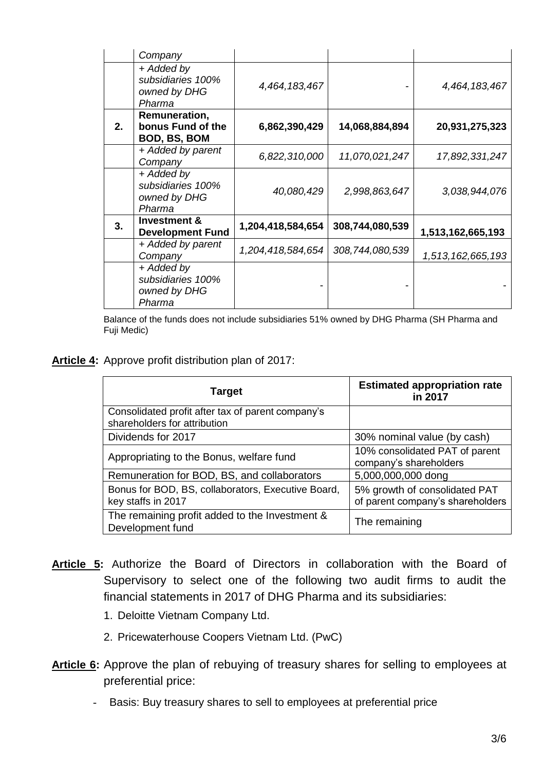|    | Company                                                   |                   |                 |                   |
|----|-----------------------------------------------------------|-------------------|-----------------|-------------------|
|    | + Added by<br>subsidiaries 100%<br>owned by DHG<br>Pharma | 4,464,183,467     |                 | 4,464,183,467     |
| 2. | Remuneration,<br>bonus Fund of the<br>BOD, BS, BOM        | 6,862,390,429     | 14,068,884,894  | 20,931,275,323    |
|    | + Added by parent<br>Company                              | 6,822,310,000     | 11,070,021,247  | 17,892,331,247    |
|    | + Added by<br>subsidiaries 100%<br>owned by DHG<br>Pharma | 40,080,429        | 2,998,863,647   | 3,038,944,076     |
| 3. | <b>Investment &amp;</b><br><b>Development Fund</b>        | 1,204,418,584,654 | 308,744,080,539 | 1,513,162,665,193 |
|    | + Added by parent<br>Company                              | 1,204,418,584,654 | 308,744,080,539 | 1,513,162,665,193 |
|    | + Added by<br>subsidiaries 100%<br>owned by DHG<br>Pharma |                   |                 |                   |

Balance of the funds does not include subsidiaries 51% owned by DHG Pharma (SH Pharma and Fuji Medic)

**Article 4:** Approve profit distribution plan of 2017:

| Target                                                                            | <b>Estimated appropriation rate</b><br>in 2017                    |
|-----------------------------------------------------------------------------------|-------------------------------------------------------------------|
| Consolidated profit after tax of parent company's<br>shareholders for attribution |                                                                   |
| Dividends for 2017                                                                | 30% nominal value (by cash)                                       |
| Appropriating to the Bonus, welfare fund                                          | 10% consolidated PAT of parent<br>company's shareholders          |
| Remuneration for BOD, BS, and collaborators                                       | 5,000,000,000 dong                                                |
| Bonus for BOD, BS, collaborators, Executive Board,<br>key staffs in 2017          | 5% growth of consolidated PAT<br>of parent company's shareholders |
| The remaining profit added to the Investment &<br>Development fund                | The remaining                                                     |

- **Article 5:** Authorize the Board of Directors in collaboration with the Board of Supervisory to select one of the following two audit firms to audit the financial statements in 2017 of DHG Pharma and its subsidiaries:
	- 1. Deloitte Vietnam Company Ltd.
	- 2. Pricewaterhouse Coopers Vietnam Ltd. (PwC)
- **Article 6:** Approve the plan of rebuying of treasury shares for selling to employees at preferential price:
	- Basis: Buy treasury shares to sell to employees at preferential price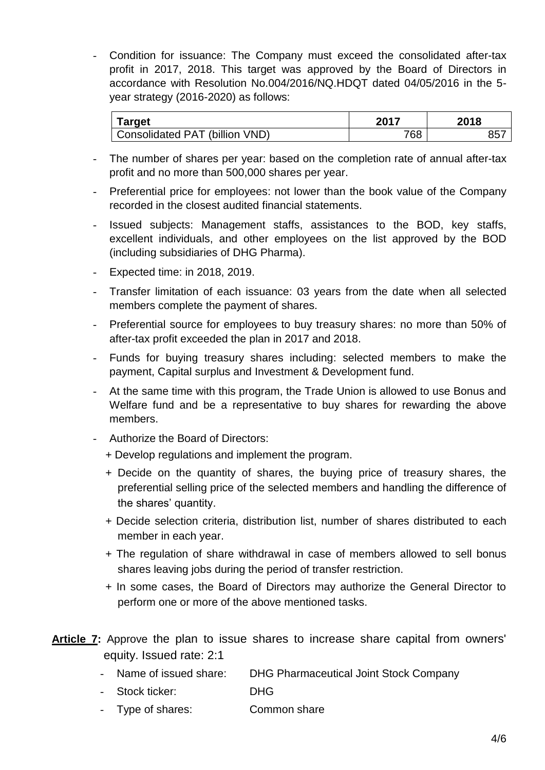- Condition for issuance: The Company must exceed the consolidated after-tax profit in 2017, 2018. This target was approved by the Board of Directors in accordance with Resolution No.004/2016/NQ.HDQT dated 04/05/2016 in the 5 year strategy (2016-2020) as follows:

| Target                         | 2017 | 2018            |
|--------------------------------|------|-----------------|
| Consolidated PAT (billion VND) | 768  | 85 <sup>7</sup> |

- The number of shares per year: based on the completion rate of annual after-tax profit and no more than 500,000 shares per year.
- Preferential price for employees: not lower than the book value of the Company recorded in the closest audited financial statements.
- Issued subjects: Management staffs, assistances to the BOD, key staffs, excellent individuals, and other employees on the list approved by the BOD (including subsidiaries of DHG Pharma).
- Expected time: in 2018, 2019.
- Transfer limitation of each issuance: 03 years from the date when all selected members complete the payment of shares.
- Preferential source for employees to buy treasury shares: no more than 50% of after-tax profit exceeded the plan in 2017 and 2018.
- Funds for buying treasury shares including: selected members to make the payment, Capital surplus and Investment & Development fund.
- At the same time with this program, the Trade Union is allowed to use Bonus and Welfare fund and be a representative to buy shares for rewarding the above members.
- Authorize the Board of Directors:
	- + Develop regulations and implement the program.
	- + Decide on the quantity of shares, the buying price of treasury shares, the preferential selling price of the selected members and handling the difference of the shares' quantity.
	- + Decide selection criteria, distribution list, number of shares distributed to each member in each year.
	- + The regulation of share withdrawal in case of members allowed to sell bonus shares leaving jobs during the period of transfer restriction.
	- + In some cases, the Board of Directors may authorize the General Director to perform one or more of the above mentioned tasks.
- **Article 7:** Approve the plan to issue shares to increase share capital from owners' equity. Issued rate: 2:1
	- Name of issued share: DHG Pharmaceutical Joint Stock Company
	- Stock ticker: DHG
	- Type of shares: Common share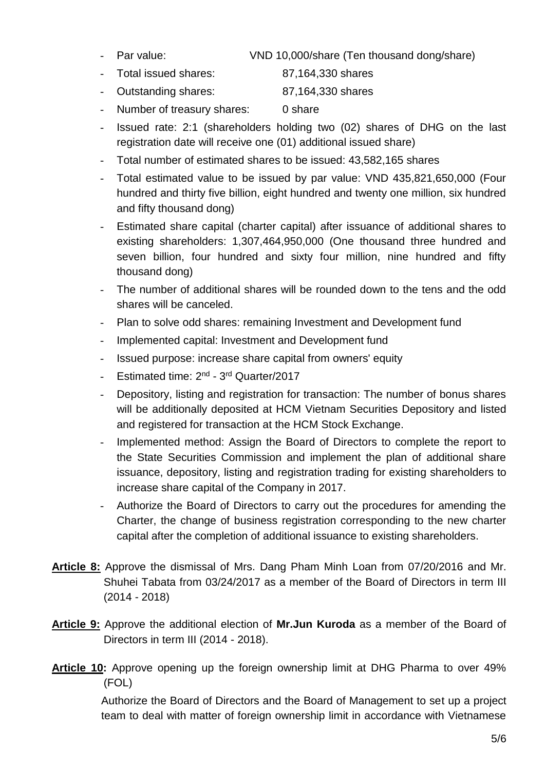- 
- Par value: VND 10,000/share (Ten thousand dong/share)
- Total issued shares: 87,164,330 shares
- Outstanding shares: 87,164,330 shares
- Number of treasury shares: 0 share
- Issued rate: 2:1 (shareholders holding two (02) shares of DHG on the last registration date will receive one (01) additional issued share)
- Total number of estimated shares to be issued: 43,582,165 shares
- Total estimated value to be issued by par value: VND 435,821,650,000 (Four hundred and thirty five billion, eight hundred and twenty one million, six hundred and fifty thousand dong)
- Estimated share capital (charter capital) after issuance of additional shares to existing shareholders: 1,307,464,950,000 (One thousand three hundred and seven billion, four hundred and sixty four million, nine hundred and fifty thousand dong)
- The number of additional shares will be rounded down to the tens and the odd shares will be canceled.
- Plan to solve odd shares: remaining Investment and Development fund
- Implemented capital: Investment and Development fund
- Issued purpose: increase share capital from owners' equity
- Estimated time: 2<sup>nd</sup> 3<sup>rd</sup> Quarter/2017
- Depository, listing and registration for transaction: The number of bonus shares will be additionally deposited at HCM Vietnam Securities Depository and listed and registered for transaction at the HCM Stock Exchange.
- Implemented method: Assign the Board of Directors to complete the report to the State Securities Commission and implement the plan of additional share issuance, depository, listing and registration trading for existing shareholders to increase share capital of the Company in 2017.
- Authorize the Board of Directors to carry out the procedures for amending the Charter, the change of business registration corresponding to the new charter capital after the completion of additional issuance to existing shareholders.
- **Article 8:** Approve the dismissal of Mrs. Dang Pham Minh Loan from 07/20/2016 and Mr. Shuhei Tabata from 03/24/2017 as a member of the Board of Directors in term III (2014 - 2018)
- **Article 9:** Approve the additional election of **Mr.Jun Kuroda** as a member of the Board of Directors in term III (2014 - 2018).
- **Article 10:** Approve opening up the foreign ownership limit at DHG Pharma to over 49% (FOL)

Authorize the Board of Directors and the Board of Management to set up a project team to deal with matter of foreign ownership limit in accordance with Vietnamese